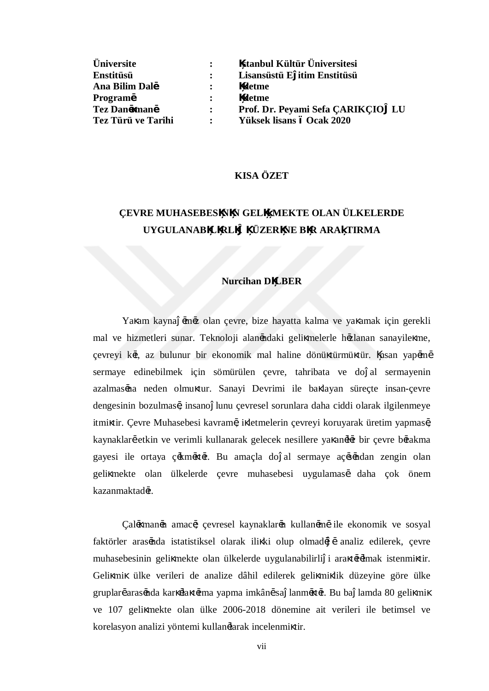| <b>Üniversite</b>  |                | stanbul Kültür Üniversitesi       |
|--------------------|----------------|-----------------------------------|
| Enstitüsü          | $\mathbf{r}$   | Lisansüstü E itim Enstitüsü       |
| Ana Bilim Dal,     |                | letme                             |
| Program,           | $\ddot{\cdot}$ | letme                             |
| Tez Dan, man,      | $\mathbf{r}$   | Prof. Dr. Peyami Sefa CARIKCIO LU |
| Tez Türü ve Tarihi | $\ddot{\cdot}$ | Yüksek lisans ó Ocak 2020         |

### **KISA ÖZET**

# **ÇEVRE MUHASEBES N N GELİŞMEKTE OLAN ÜLKELERDE UYGULANAB L RLİĞİ ÜZER NE B R ARA TIRMA**

#### **Nurcihan D LBER**

Ya am kayna ,m,z olan çevre, bize hayatta kalma ve ya amak için gerekli mal ve hizmetleri sunar. Teknoloji alanındaki geli melerle hızlanan sanayile me, çevreyi k,t, az bulunur bir ekonomik mal haline dönü türmü tür. nsan yap,m, sermaye edinebilmek için sömürülen çevre, tahribata ve do al sermayenin azalmas, na neden olmu tur. Sanayi Devrimi ile ba layan süreçte insan-çevre dengesinin bozulmas,, insano lunu çevresel sorunlara daha ciddi olarak ilgilenmeye itmi tir. Çevre Muhasebesi kavramı, i letmelerin çevreyi koruyarak üretim yapması, kaynaklar, etkin ve verimli kullanarak gelecek nesillere ya an, l, r bir çevre b, rakma gayesi ile ortaya ç, km, t,r. Bu amaçla do al sermaye aç, s, ndan zengin olan geli mekte olan ülkelerde çevre muhasebesi uygulamas, daha çok önem kazanmaktadır.

Çal, man, namac,; çevresel kaynaklar, nkullan, m, ile ekonomik ve sosyal faktörler aras,nda istatistiksel olarak ili ki olup olmad, , analiz edilerek, çevre muhasebesinin geli mekte olan ülkelerde uygulanabilirli i ara tırılmak istenmi tir. Geli mi ülke verileri de analize dâhil edilerek geli mi lik düzeyine göre ülke gruplar, aras, nda kar, la t, rma yapma imkân, sa lanm, t, r. Bu ba lamda 80 geli mi ve 107 geli mekte olan ülke 2006-2018 dönemine ait verileri ile betimsel ve korelasyon analizi yöntemi kullanılarak incelenmi tir.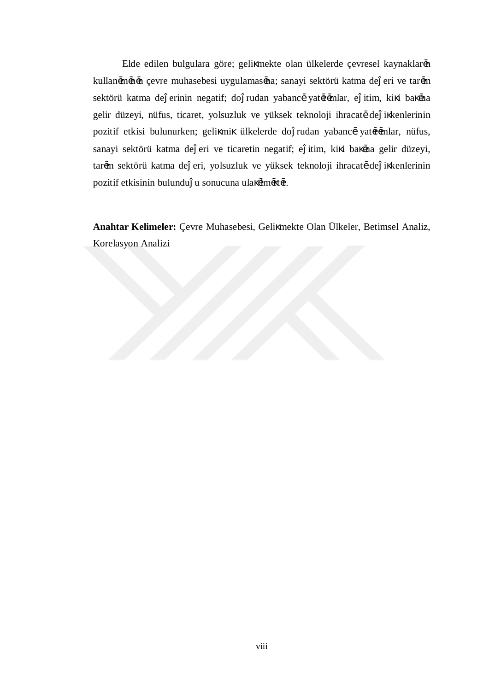Elde edilen bulgulara göre; geli mekte olan ülkelerde çevresel kaynaklar,n kullan, m, n, n çevre muhasebesi uygulamas, na; sanayi sektörü katma de eri ve tar, m sektörü katma de erinin negatif; do rudan yabanc, yat,r,mlar, e itim, ki i ba ,na gelir düzeyi, nüfus, ticaret, yolsuzluk ve yüksek teknoloji ihracat, de i kenlerinin pozitif etkisi bulunurken; geli mi ülkelerde do rudan yabanc, yat,r,mlar, nüfus, sanayi sektörü katma de eri ve ticaretin negatif; e itim, ki i ba ,na gelir düzeyi, tar, m sektörü katma de eri, yolsuzluk ve yüksek teknoloji ihracat, de i kenlerinin pozitif etkisinin bulundu u sonucuna ula ,lm, t,r.

**Anahtar Kelimeler:** Çevre Muhasebesi, Geli mekte Olan Ülkeler, Betimsel Analiz, Korelasyon Analizi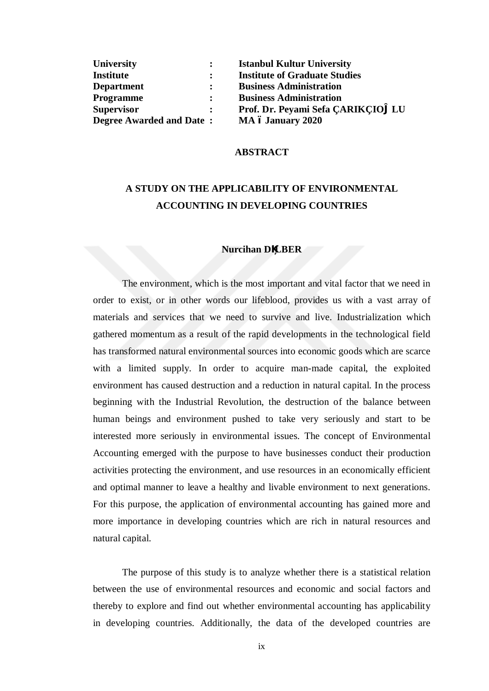| <b>University</b>               |  |
|---------------------------------|--|
| <b>Institute</b>                |  |
| <b>Department</b>               |  |
| <b>Programme</b>                |  |
| <b>Supervisor</b>               |  |
| <b>Degree Awarded and Date:</b> |  |

**University : Istanbul Kultur University Institute : Institute of Graduate Studies Department : Business Administration Business Administration Supervisor : Prof. Dr. Peyami Sefa ÇARIKÇIO LU Degree Awarded and Date : MA – January 2020**

### **ABSTRACT**

## **A STUDY ON THE APPLICABILITY OF ENVIRONMENTAL ACCOUNTING IN DEVELOPING COUNTRIES**

### **Nurcihan D LBER**

The environment, which is the most important and vital factor that we need in order to exist, or in other words our lifeblood, provides us with a vast array of materials and services that we need to survive and live. Industrialization which gathered momentum as a result of the rapid developments in the technological field has transformed natural environmental sources into economic goods which are scarce with a limited supply. In order to acquire man-made capital, the exploited environment has caused destruction and a reduction in natural capital. In the process beginning with the Industrial Revolution, the destruction of the balance between human beings and environment pushed to take very seriously and start to be interested more seriously in environmental issues. The concept of Environmental Accounting emerged with the purpose to have businesses conduct their production activities protecting the environment, and use resources in an economically efficient and optimal manner to leave a healthy and livable environment to next generations. For this purpose, the application of environmental accounting has gained more and more importance in developing countries which are rich in natural resources and natural capital.

The purpose of this study is to analyze whether there is a statistical relation between the use of environmental resources and economic and social factors and thereby to explore and find out whether environmental accounting has applicability in developing countries. Additionally, the data of the developed countries are